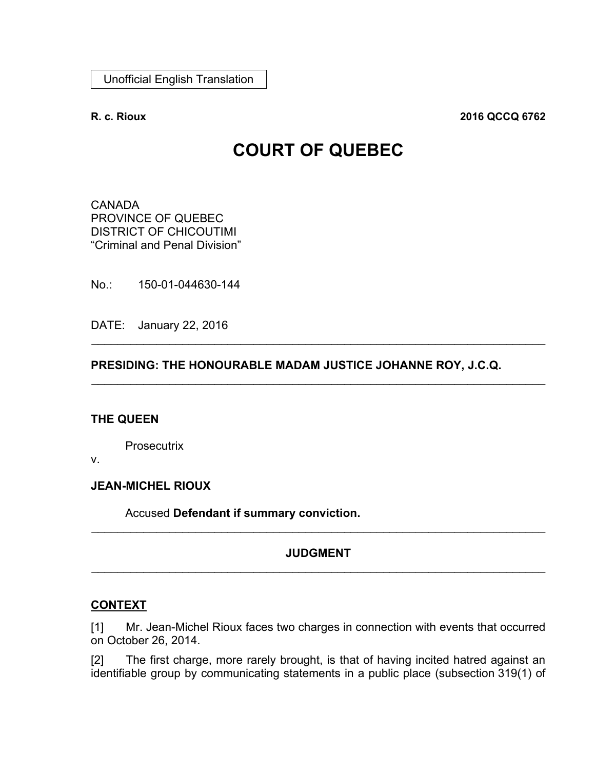**R. c. Rioux 2016 QCCQ 6762**

# **COURT OF QUEBEC**

**CANADA** PROVINCE OF QUEBEC DISTRICT OF CHICOUTIMI "Criminal and Penal Division"

No.: 150-01-044630-144

DATE: January 22, 2016

# **PRESIDING: THE HONOURABLE MADAM JUSTICE JOHANNE ROY, J.C.Q.**

\_\_\_\_\_\_\_\_\_\_\_\_\_\_\_\_\_\_\_\_\_\_\_\_\_\_\_\_\_\_\_\_\_\_\_\_\_\_\_\_\_\_\_\_\_\_\_\_\_\_\_\_\_\_\_\_\_\_\_\_\_\_\_\_\_\_\_\_\_\_

\_\_\_\_\_\_\_\_\_\_\_\_\_\_\_\_\_\_\_\_\_\_\_\_\_\_\_\_\_\_\_\_\_\_\_\_\_\_\_\_\_\_\_\_\_\_\_\_\_\_\_\_\_\_\_\_\_\_\_\_\_\_\_\_\_\_\_\_\_\_

#### **THE QUEEN**

**Prosecutrix** 

v.

**JEAN-MICHEL RIOUX**

Accused **Defendant if summary conviction.**

# **JUDGMENT** \_\_\_\_\_\_\_\_\_\_\_\_\_\_\_\_\_\_\_\_\_\_\_\_\_\_\_\_\_\_\_\_\_\_\_\_\_\_\_\_\_\_\_\_\_\_\_\_\_\_\_\_\_\_\_\_\_\_\_\_\_\_\_\_\_\_\_\_\_\_

\_\_\_\_\_\_\_\_\_\_\_\_\_\_\_\_\_\_\_\_\_\_\_\_\_\_\_\_\_\_\_\_\_\_\_\_\_\_\_\_\_\_\_\_\_\_\_\_\_\_\_\_\_\_\_\_\_\_\_\_\_\_\_\_\_\_\_\_\_\_

# **CONTEXT**

[1] Mr. Jean-Michel Rioux faces two charges in connection with events that occurred on October 26, 2014.

[2] The first charge, more rarely brought, is that of having incited hatred against an identifiable group by communicating statements in a public place (subsection 319(1) of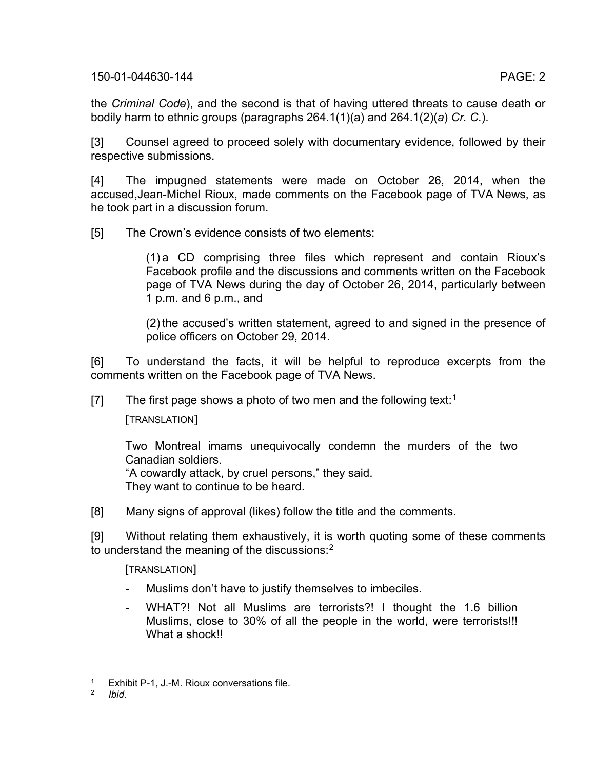the *Criminal Code*), and the second is that of having uttered threats to cause death or bodily harm to ethnic groups (paragraphs 264.1(1)(a) and 264.1(2)(*a*) *Cr. C.*).

[3] Counsel agreed to proceed solely with documentary evidence, followed by their respective submissions.

[4] The impugned statements were made on October 26, 2014, when the accused,Jean-Michel Rioux, made comments on the Facebook page of TVA News, as he took part in a discussion forum.

[5] The Crown's evidence consists of two elements:

(1) a CD comprising three files which represent and contain Rioux's Facebook profile and the discussions and comments written on the Facebook page of TVA News during the day of October 26, 2014, particularly between 1 p.m. and 6 p.m., and

(2) the accused's written statement, agreed to and signed in the presence of police officers on October 29, 2014.

[6] To understand the facts, it will be helpful to reproduce excerpts from the comments written on the Facebook page of TVA News.

[7] The first page shows a photo of two men and the following text:<sup>[1](#page-1-0)</sup>

[TRANSLATION]

Two Montreal imams unequivocally condemn the murders of the two Canadian soldiers. "A cowardly attack, by cruel persons," they said.

They want to continue to be heard.

[8] Many signs of approval (likes) follow the title and the comments.

[9] Without relating them exhaustively, it is worth quoting some of these comments to understand the meaning of the discussions: $^{\rm 2}$  $^{\rm 2}$  $^{\rm 2}$ 

[TRANSLATION]

- Muslims don't have to justify themselves to imbeciles.
- WHAT?! Not all Muslims are terrorists?! I thought the 1.6 billion Muslims, close to 30% of all the people in the world, were terrorists!!! What a shock!!

<span id="page-1-1"></span><span id="page-1-0"></span><sup>&</sup>lt;sup>1</sup> Exhibit P-1, J.-M. Rioux conversations file.

<sup>2</sup> *Ibid*.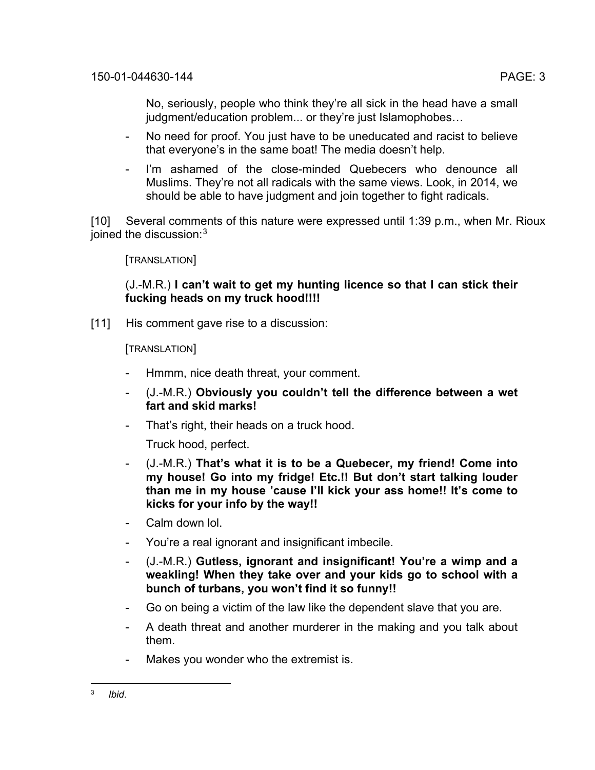No, seriously, people who think they're all sick in the head have a small judgment/education problem... or they're just Islamophobes...

- No need for proof. You just have to be uneducated and racist to believe that everyone's in the same boat! The media doesn't help.
- I'm ashamed of the close-minded Quebecers who denounce all Muslims. They're not all radicals with the same views. Look, in 2014, we should be able to have judgment and join together to fight radicals.

[10] Several comments of this nature were expressed until 1:39 p.m., when Mr. Rioux ioined the discussion:<sup>[3](#page-2-0)</sup>

[TRANSLATION]

# (J.-M.R.) **I can't wait to get my hunting licence so that I can stick their fucking heads on my truck hood!!!!**

[11] His comment gave rise to a discussion:

[TRANSLATION]

- Hmmm, nice death threat, your comment.
- (J.-M.R.) **Obviously you couldn't tell the difference between a wet fart and skid marks!**
- That's right, their heads on a truck hood.

Truck hood, perfect.

- (J.-M.R.) **That's what it is to be a Quebecer, my friend! Come into my house! Go into my fridge! Etc.!! But don't start talking louder than me in my house 'cause I'll kick your ass home!! It's come to kicks for your info by the way!!**
- Calm down lol.
- You're a real ignorant and insignificant imbecile.
- (J.-M.R.) **Gutless, ignorant and insignificant! You're a wimp and a weakling! When they take over and your kids go to school with a bunch of turbans, you won't find it so funny!!**
- Go on being a victim of the law like the dependent slave that you are.
- A death threat and another murderer in the making and you talk about them.
- Makes you wonder who the extremist is.

<span id="page-2-0"></span><sup>3</sup> *Ibid*.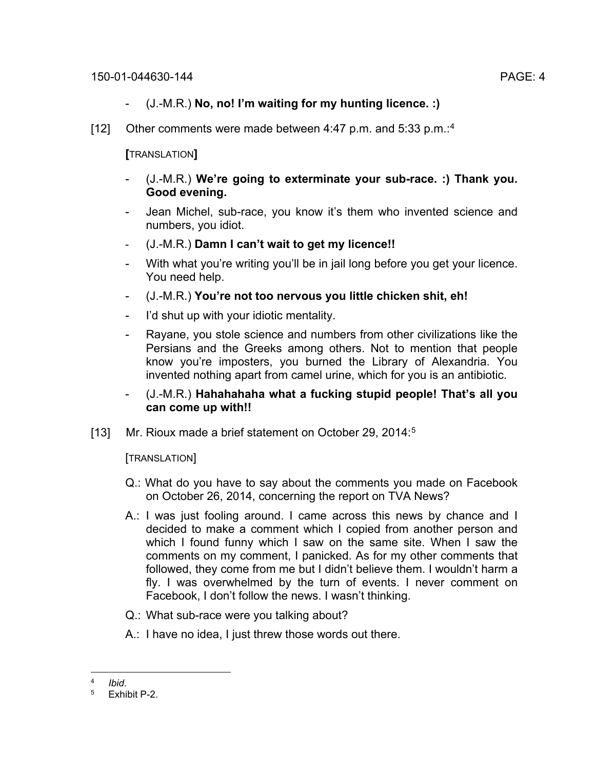- (J.-M.R.) **No, no! I'm waiting for my hunting licence. :)**
- [12] Other comments were made between [4](#page-3-0):47 p.m. and 5:33 p.m.:<sup>4</sup>

**[**TRANSLATION**]**

- (J.-M.R.) **We're going to exterminate your sub-race. :) Thank you. Good evening.**
- Jean Michel, sub-race, you know it's them who invented science and numbers, you idiot.
- (J.-M.R.) **Damn I can't wait to get my licence!!**
- With what you're writing you'll be in jail long before you get your licence. You need help.
- (J.-M.R.) **You're not too nervous you little chicken shit, eh!**
- I'd shut up with your idiotic mentality.
- Rayane, you stole science and numbers from other civilizations like the Persians and the Greeks among others. Not to mention that people know you're imposters, you burned the Library of Alexandria. You invented nothing apart from camel urine, which for you is an antibiotic.
- (J.-M.R.) **Hahahahaha what a fucking stupid people! That's all you can come up with!!**
- [13] Mr. Rioux made a brief statement on October 29, 2014: [5](#page-3-1)

[TRANSLATION]

- Q.: What do you have to say about the comments you made on Facebook on October 26, 2014, concerning the report on TVA News?
- A.: I was just fooling around. I came across this news by chance and I decided to make a comment which I copied from another person and which I found funny which I saw on the same site. When I saw the comments on my comment, I panicked. As for my other comments that followed, they come from me but I didn't believe them. I wouldn't harm a fly. I was overwhelmed by the turn of events. I never comment on Facebook, I don't follow the news. I wasn't thinking.
- Q.: What sub-race were you talking about?
- A.: I have no idea, I just threw those words out there.

<span id="page-3-1"></span><span id="page-3-0"></span> $\frac{4}{5}$  *Ibid.* 

Exhibit P-2.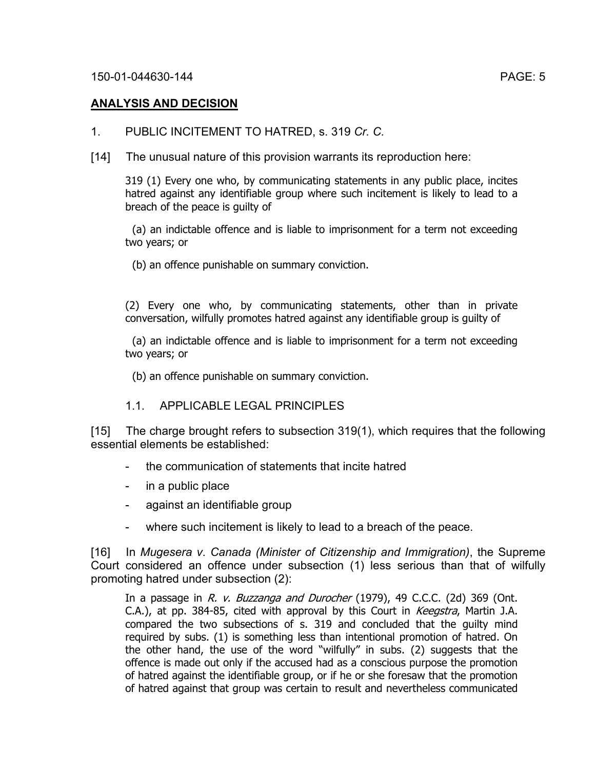# **ANALYSIS AND DECISION**

- 1. PUBLIC INCITEMENT TO HATRED, s. 319 *Cr. C.*
- [14] The unusual nature of this provision warrants its reproduction here:

319 (1) Every one who, by communicating statements in any public place, incites hatred against any identifiable group where such incitement is likely to lead to a breach of the peace is guilty of

(a) an indictable offence and is liable to imprisonment for a term not exceeding two years; or

(b) an offence punishable on summary conviction.

(2) Every one who, by communicating statements, other than in private conversation, wilfully promotes hatred against any identifiable group is guilty of

(a) an indictable offence and is liable to imprisonment for a term not exceeding two years; or

(b) an offence punishable on summary conviction.

# 1.1. APPLICABLE LEGAL PRINCIPLES

[15] The charge brought refers to subsection 319(1), which requires that the following essential elements be established:

- the communication of statements that incite hatred
- in a public place
- against an identifiable group
- where such incitement is likely to lead to a breach of the peace.

[16] In *Mugesera v*. *Canada (Minister of Citizenship and Immigration)*, the Supreme Court considered an offence under subsection (1) less serious than that of wilfully promoting hatred under subsection (2):

In a passage in R. v. Buzzanga and Durocher (1979), 49 C.C.C. (2d) 369 (Ont. C.A.), at pp. 384-85, cited with approval by this Court in Keegstra, Martin J.A. compared the two subsections of s. 319 and concluded that the guilty mind required by subs. (1) is something less than intentional promotion of hatred. On the other hand, the use of the word "wilfully" in subs. (2) suggests that the offence is made out only if the accused had as a conscious purpose the promotion of hatred against the identifiable group, or if he or she foresaw that the promotion of hatred against that group was certain to result and nevertheless communicated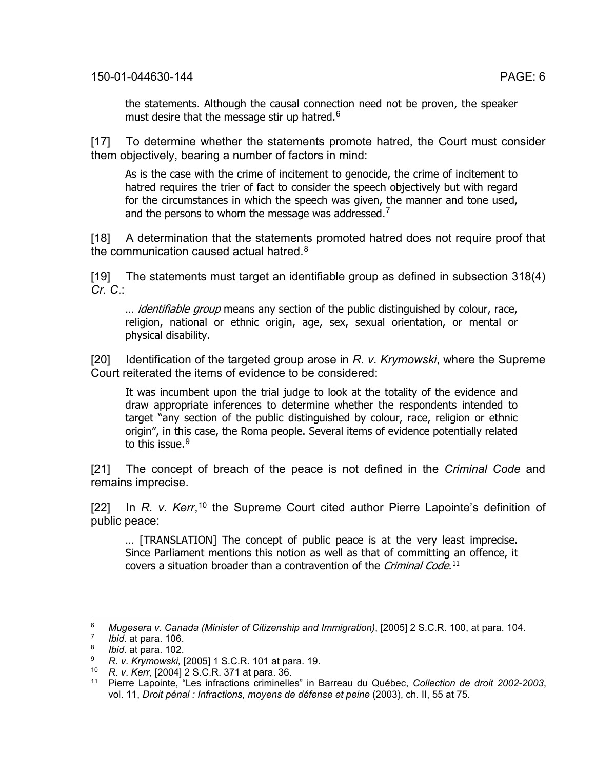the statements. Although the causal connection need not be proven, the speaker must desire that the message stir up hatred.<sup>[6](#page-5-0)</sup>

[17] To determine whether the statements promote hatred, the Court must consider them objectively, bearing a number of factors in mind:

As is the case with the crime of incitement to genocide, the crime of incitement to hatred requires the trier of fact to consider the speech objectively but with regard for the circumstances in which the speech was given, the manner and tone used, and the persons to whom the message was addressed.<sup>[7](#page-5-1)</sup>

[18] A determination that the statements promoted hatred does not require proof that the communication caused actual hatred. $^8$  $^8$ 

[19] The statements must target an identifiable group as defined in subsection 318(4) *Cr. C*.:

... *identifiable group* means any section of the public distinguished by colour, race, religion, national or ethnic origin, age, sex, sexual orientation, or mental or physical disability.

[20] Identification of the targeted group arose in *R. v*. *Krymowski*, where the Supreme Court reiterated the items of evidence to be considered:

It was incumbent upon the trial judge to look at the totality of the evidence and draw appropriate inferences to determine whether the respondents intended to target "any section of the public distinguished by colour, race, religion or ethnic origin", in this case, the Roma people. Several items of evidence potentially related to this issue.<sup>[9](#page-5-3)</sup>

[21] The concept of breach of the peace is not defined in the *Criminal Code* and remains imprecise.

[22] In *R. v. Kerr*,<sup>[10](#page-5-4)</sup> the Supreme Court cited author Pierre Lapointe's definition of public peace:

… [TRANSLATION] The concept of public peace is at the very least imprecise. Since Parliament mentions this notion as well as that of committing an offence, it covers a situation broader than a contravention of the *Criminal Code*.<sup>[11](#page-5-5)</sup>

<span id="page-5-0"></span><sup>6</sup> *Mugesera v*. *Canada (Minister of Citizenship and Immigration)*, [2005] 2 S.C.R. 100, at para. 104.

<span id="page-5-1"></span><sup>7</sup> *Ibid*. at para. 106.

<sup>8</sup> *Ibid*. at para. 102.

<span id="page-5-4"></span><span id="page-5-3"></span><span id="page-5-2"></span><sup>9</sup> *R. v*. *Krymowski,* [2005] 1 S.C.R. 101 at para. 19.

<sup>10</sup> *R. v*. *Kerr*, [2004] 2 S.C.R. 371 at para. 36.

<span id="page-5-5"></span><sup>11</sup> Pierre Lapointe, "Les infractions criminelles" in Barreau du Québec, *Collection de droit 2002-2003*, vol. 11, *Droit pénal : Infractions, moyens de défense et peine* (2003), ch. II, 55 at 75.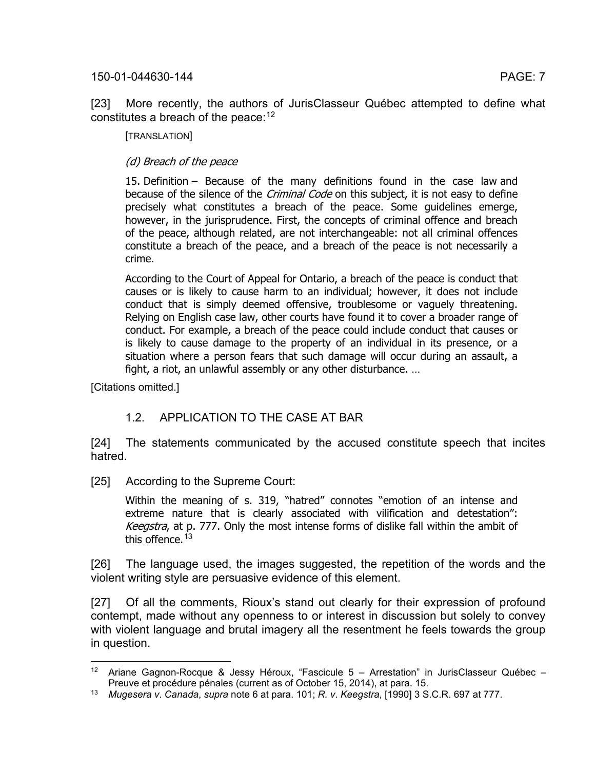[23] More recently, the authors of JurisClasseur Québec attempted to define what constitutes a breach of the peace:  $12$ 

[TRANSLATION]

### (d) Breach of the peace

15. Definition – Because of the many definitions found in the case law and because of the silence of the *Criminal Code* on this subject, it is not easy to define precisely what constitutes a breach of the peace. Some guidelines emerge, however, in the jurisprudence. First, the concepts of criminal offence and breach of the peace, although related, are not interchangeable: not all criminal offences constitute a breach of the peace, and a breach of the peace is not necessarily a crime.

According to the Court of Appeal for Ontario, a breach of the peace is conduct that causes or is likely to cause harm to an individual; however, it does not include conduct that is simply deemed offensive, troublesome or vaguely threatening. Relying on English case law, other courts have found it to cover a broader range of conduct. For example, a breach of the peace could include conduct that causes or is likely to cause damage to the property of an individual in its presence, or a situation where a person fears that such damage will occur during an assault, a fight, a riot, an unlawful assembly or any other disturbance. …

[Citations omitted.]

# 1.2. APPLICATION TO THE CASE AT BAR

[24] The statements communicated by the accused constitute speech that incites hatred.

[25] According to the Supreme Court:

Within the meaning of s. 319, "hatred" connotes "emotion of an intense and extreme nature that is clearly associated with vilification and detestation": Keegstra, at p. 777. Only the most intense forms of dislike fall within the ambit of this offence.<sup>[13](#page-6-1)</sup>

[26] The language used, the images suggested, the repetition of the words and the violent writing style are persuasive evidence of this element.

[27] Of all the comments, Rioux's stand out clearly for their expression of profound contempt, made without any openness to or interest in discussion but solely to convey with violent language and brutal imagery all the resentment he feels towards the group in question.

<span id="page-6-0"></span><sup>&</sup>lt;sup>12</sup> Ariane Gagnon-Rocque & Jessy Héroux, "Fascicule  $5$  – Arrestation" in JurisClasseur Québec – Preuve et procédure pénales (current as of October 15, 2014), at para. 15.

<span id="page-6-1"></span><sup>13</sup> *Mugesera v*. *Canada*, *supra* note 6 at para. 101; *R. v*. *Keegstra*, [1990] 3 S.C.R. 697 at 777.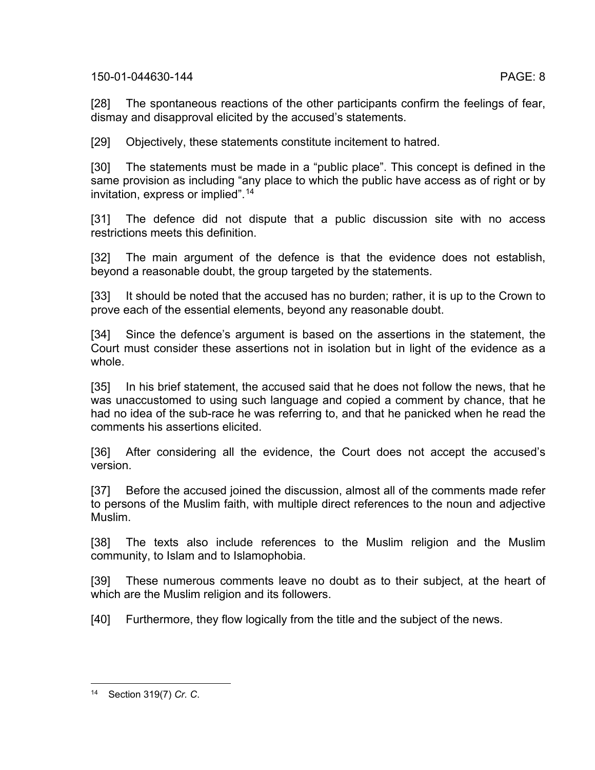[28] The spontaneous reactions of the other participants confirm the feelings of fear, dismay and disapproval elicited by the accused's statements.

[29] Objectively, these statements constitute incitement to hatred.

[30] The statements must be made in a "public place". This concept is defined in the same provision as including "any place to which the public have access as of right or by invitation, express or implied".[14](#page-7-0)

[31] The defence did not dispute that a public discussion site with no access restrictions meets this definition.

[32] The main argument of the defence is that the evidence does not establish, beyond a reasonable doubt, the group targeted by the statements.

[33] It should be noted that the accused has no burden; rather, it is up to the Crown to prove each of the essential elements, beyond any reasonable doubt.

[34] Since the defence's argument is based on the assertions in the statement, the Court must consider these assertions not in isolation but in light of the evidence as a whole.

[35] In his brief statement, the accused said that he does not follow the news, that he was unaccustomed to using such language and copied a comment by chance, that he had no idea of the sub-race he was referring to, and that he panicked when he read the comments his assertions elicited.

[36] After considering all the evidence, the Court does not accept the accused's version.

[37] Before the accused joined the discussion, almost all of the comments made refer to persons of the Muslim faith, with multiple direct references to the noun and adjective Muslim.

[38] The texts also include references to the Muslim religion and the Muslim community, to Islam and to Islamophobia.

[39] These numerous comments leave no doubt as to their subject, at the heart of which are the Muslim religion and its followers.

[40] Furthermore, they flow logically from the title and the subject of the news.

<span id="page-7-0"></span><sup>14</sup> Section 319(7) *Cr. C*.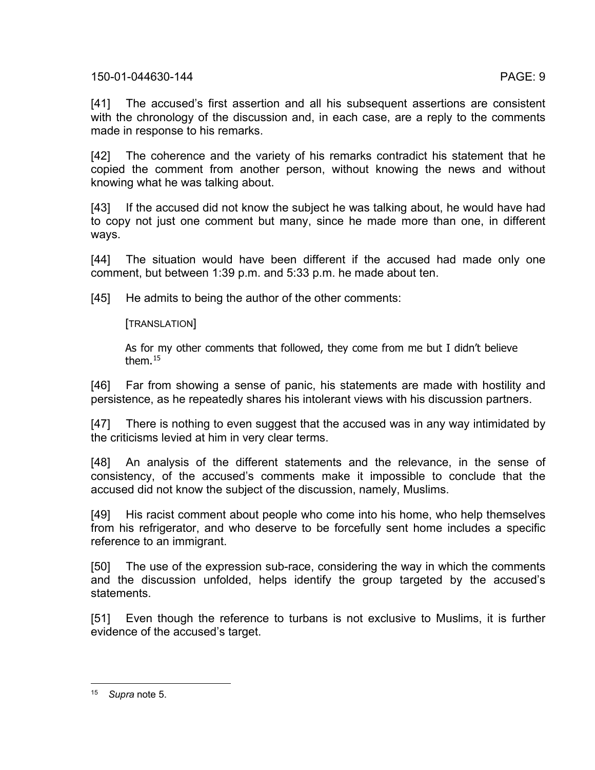[41] The accused's first assertion and all his subsequent assertions are consistent with the chronology of the discussion and, in each case, are a reply to the comments made in response to his remarks.

[42] The coherence and the variety of his remarks contradict his statement that he copied the comment from another person, without knowing the news and without knowing what he was talking about.

[43] If the accused did not know the subject he was talking about, he would have had to copy not just one comment but many, since he made more than one, in different ways.

[44] The situation would have been different if the accused had made only one comment, but between 1:39 p.m. and 5:33 p.m. he made about ten.

[45] He admits to being the author of the other comments:

# [TRANSLATION]

As for my other comments that followed, they come from me but I didn't believe them.[15](#page-8-0)

[46] Far from showing a sense of panic, his statements are made with hostility and persistence, as he repeatedly shares his intolerant views with his discussion partners.

[47] There is nothing to even suggest that the accused was in any way intimidated by the criticisms levied at him in very clear terms.

[48] An analysis of the different statements and the relevance, in the sense of consistency, of the accused's comments make it impossible to conclude that the accused did not know the subject of the discussion, namely, Muslims.

[49] His racist comment about people who come into his home, who help themselves from his refrigerator, and who deserve to be forcefully sent home includes a specific reference to an immigrant.

[50] The use of the expression sub-race, considering the way in which the comments and the discussion unfolded, helps identify the group targeted by the accused's statements.

[51] Even though the reference to turbans is not exclusive to Muslims, it is further evidence of the accused's target.

<span id="page-8-0"></span><sup>15</sup> *Supra* note 5.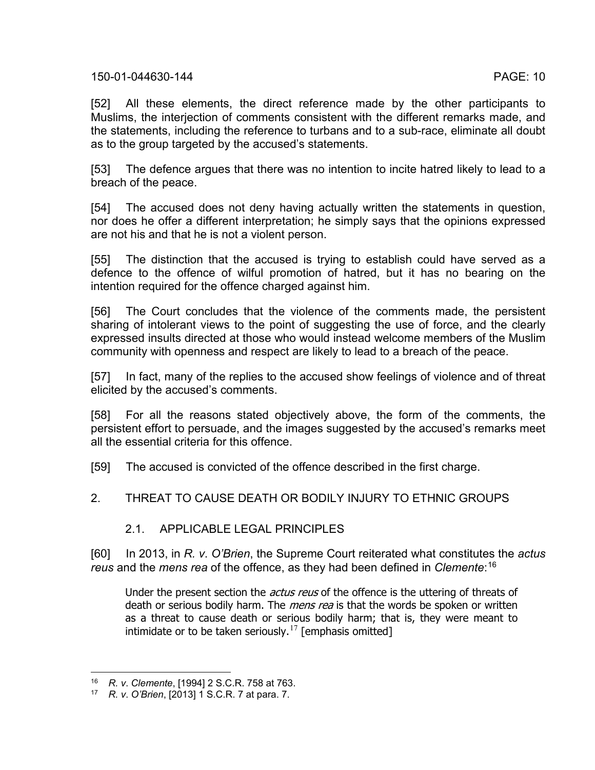[52] All these elements, the direct reference made by the other participants to Muslims, the interjection of comments consistent with the different remarks made, and the statements, including the reference to turbans and to a sub-race, eliminate all doubt as to the group targeted by the accused's statements.

[53] The defence argues that there was no intention to incite hatred likely to lead to a breach of the peace.

[54] The accused does not deny having actually written the statements in question, nor does he offer a different interpretation; he simply says that the opinions expressed are not his and that he is not a violent person.

[55] The distinction that the accused is trying to establish could have served as a defence to the offence of wilful promotion of hatred, but it has no bearing on the intention required for the offence charged against him.

[56] The Court concludes that the violence of the comments made, the persistent sharing of intolerant views to the point of suggesting the use of force, and the clearly expressed insults directed at those who would instead welcome members of the Muslim community with openness and respect are likely to lead to a breach of the peace.

[57] In fact, many of the replies to the accused show feelings of violence and of threat elicited by the accused's comments.

[58] For all the reasons stated objectively above, the form of the comments, the persistent effort to persuade, and the images suggested by the accused's remarks meet all the essential criteria for this offence.

[59] The accused is convicted of the offence described in the first charge.

# 2. THREAT TO CAUSE DEATH OR BODILY INJURY TO ETHNIC GROUPS

# 2.1. APPLICABLE LEGAL PRINCIPLES

[60] In 2013, in *R. v*. *O'Brien*, the Supreme Court reiterated what constitutes the *actus reus* and the *mens rea* of the offence, as they had been defined in *Clemente*: [16](#page-9-0)

Under the present section the *actus reus* of the offence is the uttering of threats of death or serious bodily harm. The *mens rea* is that the words be spoken or written as a threat to cause death or serious bodily harm; that is, they were meant to intimidate or to be taken seriously.<sup>[17](#page-9-1)</sup> [emphasis omitted]

<span id="page-9-0"></span><sup>16</sup> *R. v*. *Clemente*, [1994] 2 S.C.R. 758 at 763.

<span id="page-9-1"></span><sup>17</sup> *R. v*. *O'Brien*, [2013] 1 S.C.R. 7 at para. 7.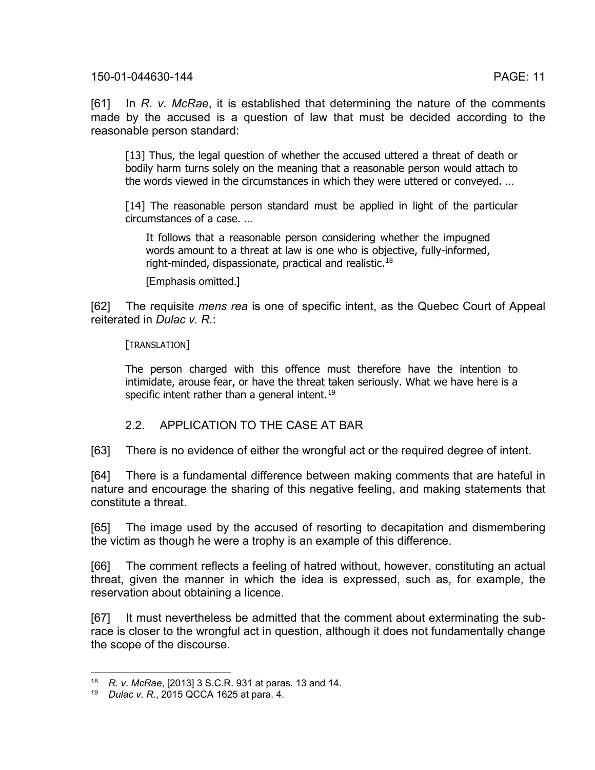[61] In *R. v*. *McRae*, it is established that determining the nature of the comments made by the accused is a question of law that must be decided according to the reasonable person standard:

[13] Thus, the legal question of whether the accused uttered a threat of death or bodily harm turns solely on the meaning that a reasonable person would attach to the words viewed in the circumstances in which they were uttered or conveyed. …

[14] The reasonable person standard must be applied in light of the particular circumstances of a case. …

It follows that a reasonable person considering whether the impugned words amount to a threat at law is one who is objective, fully-informed, right-minded, dispassionate, practical and realistic.[18](#page-10-0)

[Emphasis omitted.]

[62] The requisite *mens rea* is one of specific intent, as the Quebec Court of Appeal reiterated in *Dulac v. R.*:

[TRANSLATION]

The person charged with this offence must therefore have the intention to intimidate, arouse fear, or have the threat taken seriously. What we have here is a specific intent rather than a general intent. [19](#page-10-1)

### 2.2. APPLICATION TO THE CASE AT BAR

[63] There is no evidence of either the wrongful act or the required degree of intent.

[64] There is a fundamental difference between making comments that are hateful in nature and encourage the sharing of this negative feeling, and making statements that constitute a threat.

[65] The image used by the accused of resorting to decapitation and dismembering the victim as though he were a trophy is an example of this difference.

[66] The comment reflects a feeling of hatred without, however, constituting an actual threat, given the manner in which the idea is expressed, such as, for example, the reservation about obtaining a licence.

[67] It must nevertheless be admitted that the comment about exterminating the subrace is closer to the wrongful act in question, although it does not fundamentally change the scope of the discourse.

<span id="page-10-1"></span><span id="page-10-0"></span><sup>18</sup> *R. v*. *McRae*, [2013] 3 S.C.R. 931 at paras. 13 and 14.

<sup>19</sup> *Dulac v*. *R.*, 2015 QCCA 1625 at para. 4.